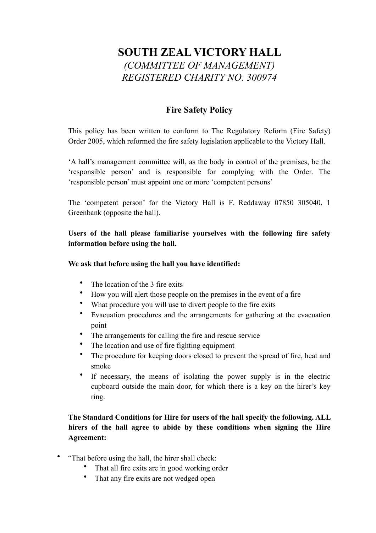# **SOUTH ZEAL VICTORY HALL**  *(COMMITTEE OF MANAGEMENT) REGISTERED CHARITY NO. 300974*

## **Fire Safety Policy**

This policy has been written to conform to The Regulatory Reform (Fire Safety) Order 2005, which reformed the fire safety legislation applicable to the Victory Hall.

'A hall's management committee will, as the body in control of the premises, be the 'responsible person' and is responsible for complying with the Order. The 'responsible person' must appoint one or more 'competent persons'

The 'competent person' for the Victory Hall is F. Reddaway 07850 305040, 1 Greenbank (opposite the hall).

**Users of the hall please familiarise yourselves with the following fire safety information before using the hall.** 

#### **We ask that before using the hall you have identified:**

- The location of the 3 fire exits
- How you will alert those people on the premises in the event of a fire
- What procedure you will use to divert people to the fire exits
- Evacuation procedures and the arrangements for gathering at the evacuation point
- The arrangements for calling the fire and rescue service
- The location and use of fire fighting equipment
- The procedure for keeping doors closed to prevent the spread of fire, heat and smoke
- If necessary, the means of isolating the power supply is in the electric cupboard outside the main door, for which there is a key on the hirer's key ring.

### **The Standard Conditions for Hire for users of the hall specify the following. ALL hirers of the hall agree to abide by these conditions when signing the Hire Agreement:**

- "That before using the hall, the hirer shall check:
	- That all fire exits are in good working order
	- That any fire exits are not wedged open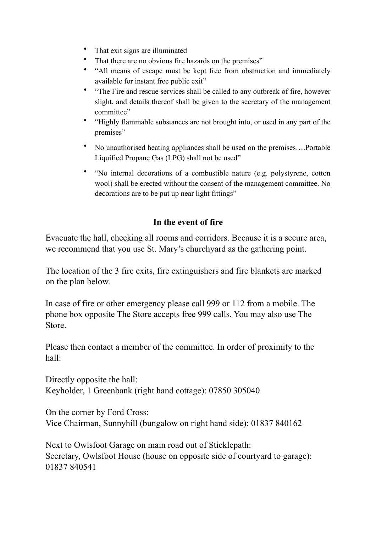- That exit signs are illuminated
- That there are no obvious fire hazards on the premises"
- "All means of escape must be kept free from obstruction and immediately available for instant free public exit"
- "The Fire and rescue services shall be called to any outbreak of fire, however slight, and details thereof shall be given to the secretary of the management committee"
- "Highly flammable substances are not brought into, or used in any part of the premises"
- No unauthorised heating appliances shall be used on the premises....Portable Liquified Propane Gas (LPG) shall not be used"
- "No internal decorations of a combustible nature (e.g. polystyrene, cotton wool) shall be erected without the consent of the management committee. No decorations are to be put up near light fittings"

## **In the event of fire**

Evacuate the hall, checking all rooms and corridors. Because it is a secure area, we recommend that you use St. Mary's churchyard as the gathering point.

The location of the 3 fire exits, fire extinguishers and fire blankets are marked on the plan below.

In case of fire or other emergency please call 999 or 112 from a mobile. The phone box opposite The Store accepts free 999 calls. You may also use The Store.

Please then contact a member of the committee. In order of proximity to the hall:

Directly opposite the hall: Keyholder, 1 Greenbank (right hand cottage): 07850 305040

On the corner by Ford Cross: Vice Chairman, Sunnyhill (bungalow on right hand side): 01837 840162

Next to Owlsfoot Garage on main road out of Sticklepath: Secretary, Owlsfoot House (house on opposite side of courtyard to garage): 01837 840541